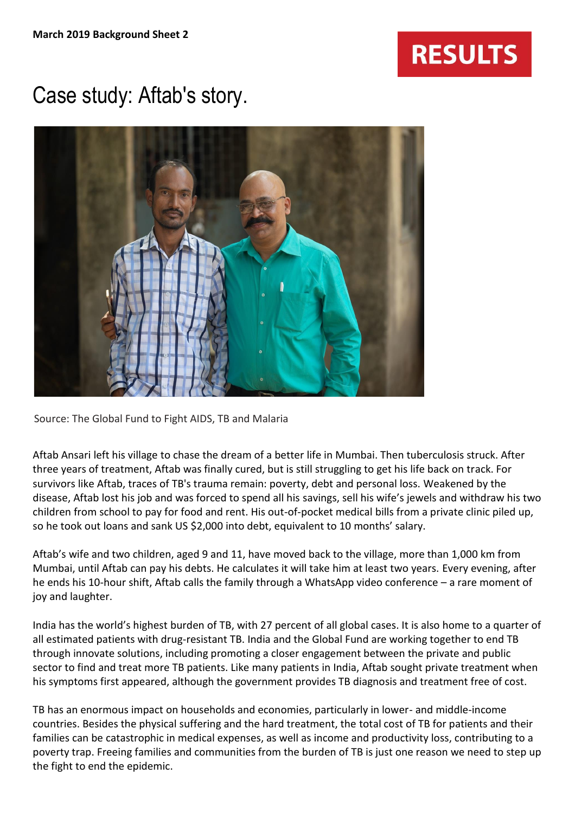## **RESULTS**

## Case study: Aftab's story.



Source: The Global Fund to Fight AIDS, TB and Malaria

Aftab Ansari left his village to chase the dream of a better life in Mumbai. Then tuberculosis struck. After three years of treatment, Aftab was finally cured, but is still struggling to get his life back on track. For survivors like Aftab, traces of TB's trauma remain: poverty, debt and personal loss. Weakened by the disease, Aftab lost his job and was forced to spend all his savings, sell his wife's jewels and withdraw his two children from school to pay for food and rent. His out-of-pocket medical bills from a private clinic piled up, so he took out loans and sank US \$2,000 into debt, equivalent to 10 months' salary.

Aftab's wife and two children, aged 9 and 11, have moved back to the village, more than 1,000 km from Mumbai, until Aftab can pay his debts. He calculates it will take him at least two years. Every evening, after he ends his 10-hour shift, Aftab calls the family through a WhatsApp video conference – a rare moment of joy and laughter.

India has the world's highest burden of TB, with 27 percent of all global cases. It is also home to a quarter of all estimated patients with drug-resistant TB. India and the Global Fund are working together to end TB through innovate solutions, including promoting a closer engagement between the private and public sector to find and treat more TB patients. Like many patients in India, Aftab sought private treatment when his symptoms first appeared, although the government provides TB diagnosis and treatment free of cost.

TB has an enormous impact on households and economies, particularly in lower- and middle-income countries. Besides the physical suffering and the hard treatment, the total cost of TB for patients and their families can be catastrophic in medical expenses, as well as income and productivity loss, contributing to a poverty trap. Freeing families and communities from the burden of TB is just one reason we need to step up the fight to end the epidemic.